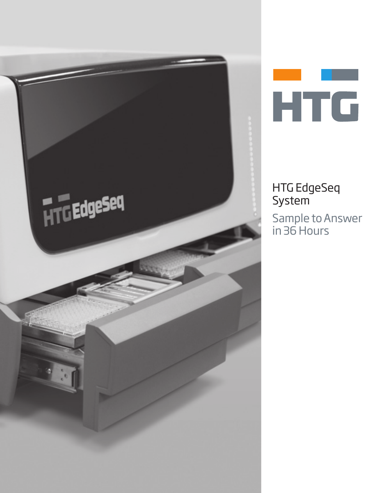



# HTG EdgeSeq **System**

Sample to Answer in 36 Hours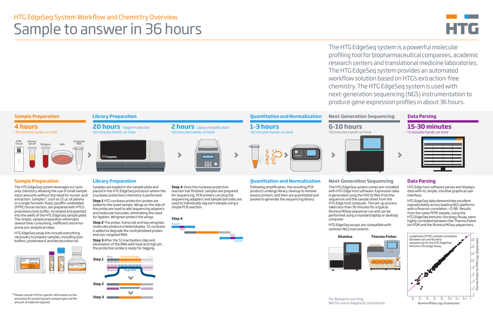The HTG EdgeSeq system is a powerful molecular profiling tool for biopharmaceutical companies, academic research centers and translational medicine laboratories. The HTG EdgeSeq system provides an automated workflow solution based on HTG's extraction-free chemistry. The HTG EdgeSeq system is used with next-generation sequencing (NGS) instrumentation to produce gene expression profiles in about 36 hours.

**20 hours** Target Protection ~10 minutes hands-on time



# HTG EdgeSeq System Workflow and Chemistry Overview Sample to answer in 36 hours

**Step 4** Once the nuclease protection reaction has finished, samples are prepared for sequencing. PCR primers carrying the sequencing adapters and sample barcodes are used to individually tag each sample using a simple PCR reaction.

### **4 hours** ~30 minutes hands-on time

**2 hours** Library Amplification

~60 minutes hands-on time

**1-3 hours** ~60 minutes hands-on time



**6-10 hours**



### ~30 minutes hands-on time









# **Sample Preparation Library Preparation Quantitation and Normalization Next-Generation Sequencing Data Parsing**

**Illumina Thermo Fisher**



# **Quantitation and Normalization**

Following amplification, the resulting PCR products undergo library cleanup to remove excess primers, and then are quantitated and pooled to generate the sequencing library.

**Step 3** After the S1 inactivation step and elimination of the RNA with heat and high pH, the protection probe is ready for tagging.

Wing **Protection Probe** 

<u> municipalmunici</u> 0000000000000000000000

Wingman Target RNA



# **Sample Preparation**

The HTG EdgeSeq system leverages our lysisonly chemistry allowing the use of small sample input amounts without the need for nucleic acid extraction. Samples\*, such as 15 µL of plasma or a single formalin-fixed, paraffin-embedded (FFPE) tissue section, are prepared with HTG's proprietary lysis buffer, incubated and pipetted into the wells of the HTG EdgeSeq sample plate. The simple, sample preparation eliminates several time-consuming, inefficient and errorprone pre-analytical steps.

> **Step 3** For Research Use Only. Not for use in diagnostic procedures.

HTG EdgeSeq assay kits include everything necessary to prepare samples, including lysis buffers, proteinase K and denaturation oil.



**Library Preparation**





Samples are loaded in the sample plate and placed in the HTG EdgeSeq processor where the (nuclease protection) chemistry is performed. **Step 1** HTG nuclease protection probes are added to the lysed sample. Wings on the side of the probe are used to add sequencing adapters and molecular barcodes, eliminating the need for ligation. Wingmen protect the wings. **Step 2** The probe, transcript and two wingman molecules produce a heteroduplex. S1 nuclease is added to degrade the nonhybridized probes

and non-targeted RNA.

### **Next-Generation Sequencing** The HTG EdgeSeq system comes pre-installed with HTG Edge host software. Expression data is generated using the FASTQ files from the sequencer and the sample sheet from the HTG Edge host computer. The set-up process takes less than 30 minutes for a typical Illumina MiSeq sequencer run and can be performed using a standard laptop or desktop computer.

HTG EdgeSeq assays are compatible with common NGS instruments.



# **Data Parsing**

HTG Edge host software parses and displays data with its simple, intuitive graphical user interface.

HTG EdgeSeq data demonstrate excellent reproducibility across leading NGS platforms with a Pearson correlation  $\overline{20.98}$ . Results from the same FFPE sample, using the HTG EdgeSeq Immuno-Oncology Assay, were highly correlated between the Thermo Fisher Ion PGM and the Illumina MiSeq sequencers.

Please consult HTG for specific information on the \* procedure for preparing each sample type and the amount of material required.

Wingman

# 899.

**Step 1**

**Step 2**